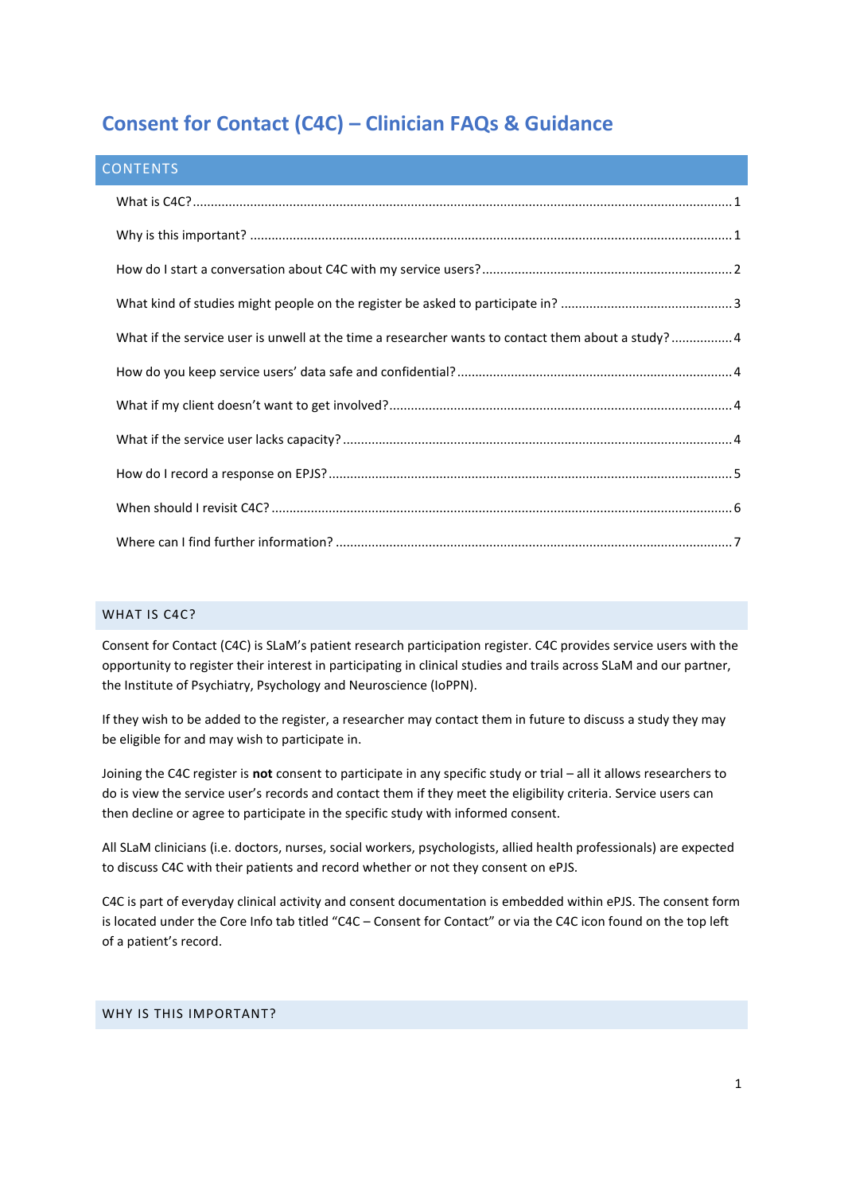# **Consent for Contact (C4C) – Clinician FAQs & Guidance**

| <b>CONTENTS</b>                                                                                    |  |
|----------------------------------------------------------------------------------------------------|--|
|                                                                                                    |  |
|                                                                                                    |  |
|                                                                                                    |  |
|                                                                                                    |  |
| What if the service user is unwell at the time a researcher wants to contact them about a study? 4 |  |
|                                                                                                    |  |
|                                                                                                    |  |
|                                                                                                    |  |
|                                                                                                    |  |
|                                                                                                    |  |
|                                                                                                    |  |

## <span id="page-0-0"></span>WHAT IS C4C?

Consent for Contact (C4C) is SLaM's patient research participation register. C4C provides service users with the opportunity to register their interest in participating in clinical studies and trails across SLaM and our partner, the Institute of Psychiatry, Psychology and Neuroscience (IoPPN).

If they wish to be added to the register, a researcher may contact them in future to discuss a study they may be eligible for and may wish to participate in.

Joining the C4C register is **not** consent to participate in any specific study or trial – all it allows researchers to do is view the service user's records and contact them if they meet the eligibility criteria. Service users can then decline or agree to participate in the specific study with informed consent.

All SLaM clinicians (i.e. doctors, nurses, social workers, psychologists, allied health professionals) are expected to discuss C4C with their patients and record whether or not they consent on ePJS.

C4C is part of everyday clinical activity and consent documentation is embedded within ePJS. The consent form is located under the Core Info tab titled "C4C – Consent for Contact" or via the C4C icon found on the top left of a patient's record.

## <span id="page-0-1"></span>WHY IS THIS IMPORTANT?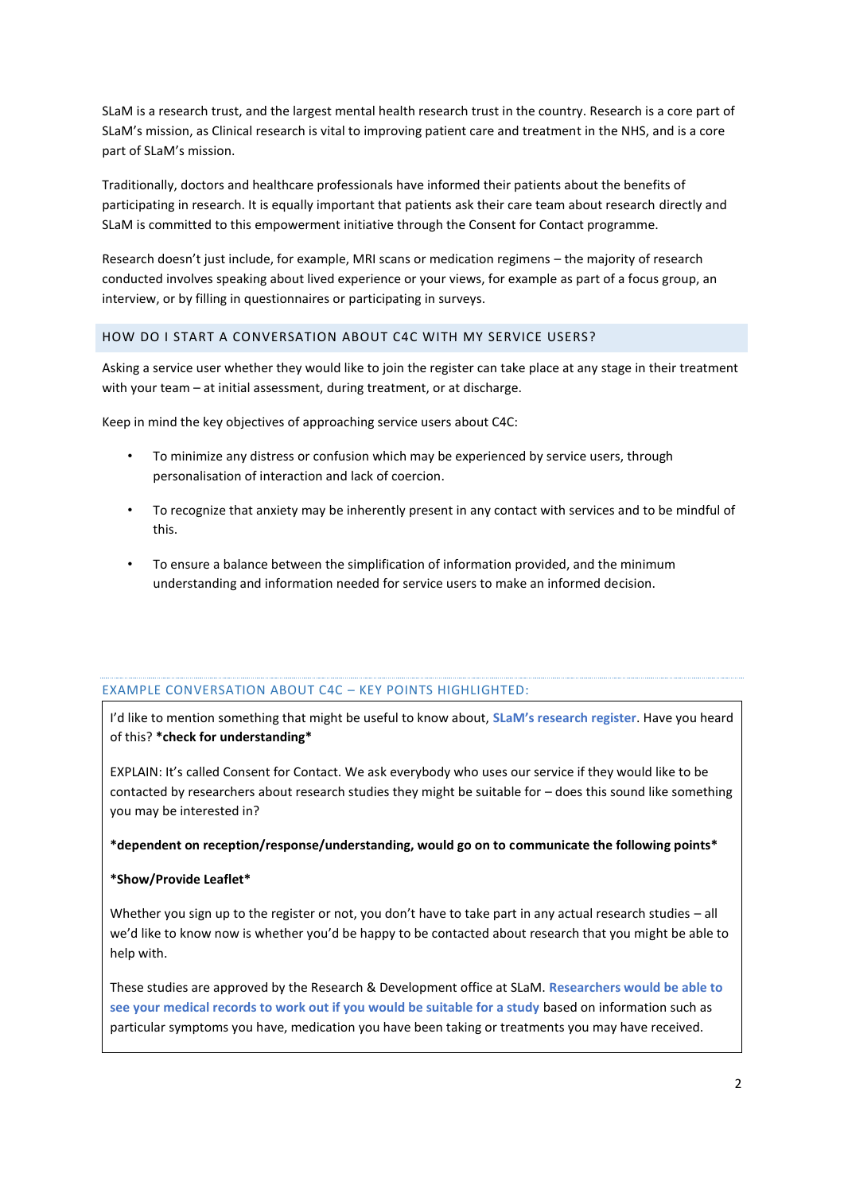SLaM is a research trust, and the largest mental health research trust in the country. Research is a core part of SLaM's mission, as Clinical research is vital to improving patient care and treatment in the NHS, and is a core part of SLaM's mission.

Traditionally, doctors and healthcare professionals have informed their patients about the benefits of participating in research. It is equally important that patients ask their care team about research directly and SLaM is committed to this empowerment initiative through the Consent for Contact programme.

Research doesn't just include, for example, MRI scans or medication regimens – the majority of research conducted involves speaking about lived experience or your views, for example as part of a focus group, an interview, or by filling in questionnaires or participating in surveys.

## <span id="page-1-0"></span>HOW DO I START A CONVERSATION ABOUT C4C WITH MY SERVICE USERS?

Asking a service user whether they would like to join the register can take place at any stage in their treatment with your team – at initial assessment, during treatment, or at discharge.

Keep in mind the key objectives of approaching service users about C4C:

- To minimize any distress or confusion which may be experienced by service users, through personalisation of interaction and lack of coercion.
- To recognize that anxiety may be inherently present in any contact with services and to be mindful of this.
- To ensure a balance between the simplification of information provided, and the minimum understanding and information needed for service users to make an informed decision.

## EXAMPLE CONVERSATION ABOUT C4C – KEY POINTS HIGHLIGHTED:

I'd like to mention something that might be useful to know about, **SLaM's research register**. Have you heard of this? **\*check for understanding\***

EXPLAIN: It's called Consent for Contact. We ask everybody who uses our service if they would like to be contacted by researchers about research studies they might be suitable for – does this sound like something you may be interested in?

#### **\*dependent on reception/response/understanding, would go on to communicate the following points\***

## **\*Show/Provide Leaflet\***

Whether you sign up to the register or not, you don't have to take part in any actual research studies – all we'd like to know now is whether you'd be happy to be contacted about research that you might be able to help with.

These studies are approved by the Research & Development office at SLaM. **Researchers would be able to see your medical records to work out if you would be suitable for a study** based on information such as particular symptoms you have, medication you have been taking or treatments you may have received.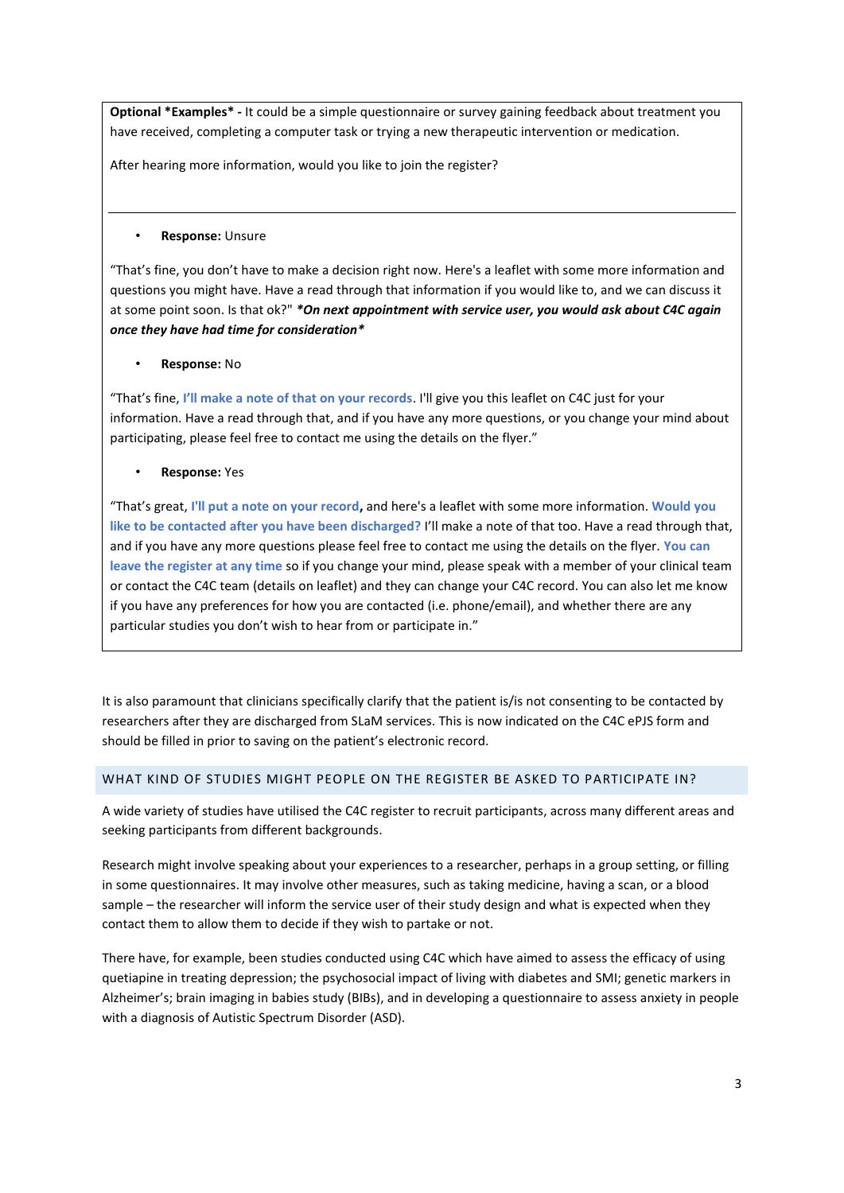**Optional \*Examples\* -** It could be a simple questionnaire or survey gaining feedback about treatment you have received, completing a computer task or trying a new therapeutic intervention or medication.

After hearing more information, would you like to join the register?

#### • **Response:** Unsure

"That's fine, you don't have to make a decision right now. Here's a leaflet with some more information and questions you might have. Have a read through that information if you would like to, and we can discuss it at some point soon. Is that ok?" *\*On next appointment with service user, you would ask about C4C again once they have had time for consideration\**

## • **Response:** No

"That's fine, **I'll make a note of that on your records**. I'll give you this leaflet on C4C just for your information. Have a read through that, and if you have any more questions, or you change your mind about participating, please feel free to contact me using the details on the flyer."

## • **Response:** Yes

"That's great, **I'll put a note on your record,** and here's a leaflet with some more information. **Would you like to be contacted after you have been discharged?** I'll make a note of that too. Have a read through that, and if you have any more questions please feel free to contact me using the details on the flyer. **You can leave the register at any time** so if you change your mind, please speak with a member of your clinical team or contact the C4C team (details on leaflet) and they can change your C4C record. You can also let me know if you have any preferences for how you are contacted (i.e. phone/email), and whether there are any particular studies you don't wish to hear from or participate in."

It is also paramount that clinicians specifically clarify that the patient is/is not consenting to be contacted by researchers after they are discharged from SLaM services. This is now indicated on the C4C ePJS form and should be filled in prior to saving on the patient's electronic record.

## <span id="page-2-0"></span>WHAT KIND OF STUDIES MIGHT PEOPLE ON THE REGISTER BE ASKED TO PARTICIPATE IN?

A wide variety of studies have utilised the C4C register to recruit participants, across many different areas and seeking participants from different backgrounds.

Research might involve speaking about your experiences to a researcher, perhaps in a group setting, or filling in some questionnaires. It may involve other measures, such as taking medicine, having a scan, or a blood sample – the researcher will inform the service user of their study design and what is expected when they contact them to allow them to decide if they wish to partake or not.

There have, for example, been studies conducted using C4C which have aimed to assess the efficacy of using quetiapine in treating depression; the psychosocial impact of living with diabetes and SMI; genetic markers in Alzheimer's; brain imaging in babies study (BIBs), and in developing a questionnaire to assess anxiety in people with a diagnosis of Autistic Spectrum Disorder (ASD).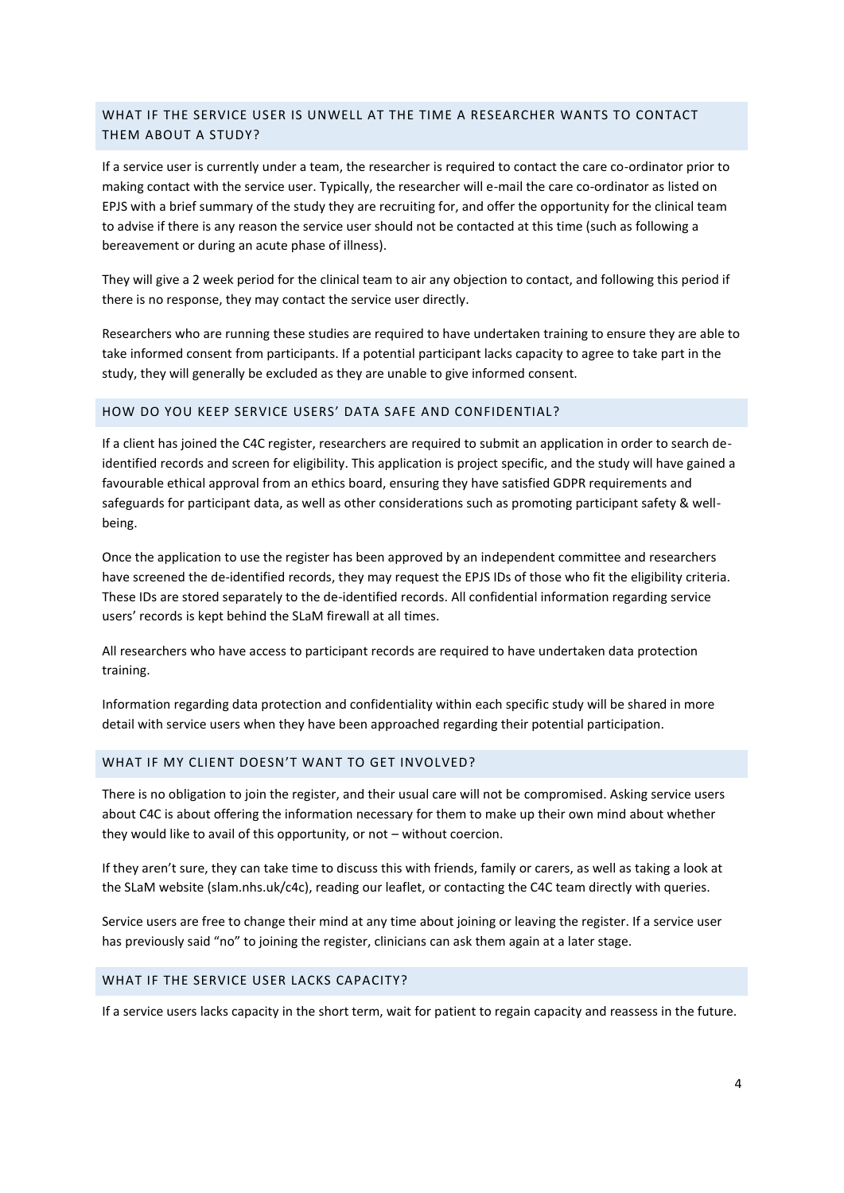# <span id="page-3-0"></span>WHAT IF THE SERVICE USER IS UNWELL AT THE TIME A RESEARCHER WANTS TO CONTACT THEM ABOUT A STUDY?

If a service user is currently under a team, the researcher is required to contact the care co-ordinator prior to making contact with the service user. Typically, the researcher will e-mail the care co-ordinator as listed on EPJS with a brief summary of the study they are recruiting for, and offer the opportunity for the clinical team to advise if there is any reason the service user should not be contacted at this time (such as following a bereavement or during an acute phase of illness).

They will give a 2 week period for the clinical team to air any objection to contact, and following this period if there is no response, they may contact the service user directly.

Researchers who are running these studies are required to have undertaken training to ensure they are able to take informed consent from participants. If a potential participant lacks capacity to agree to take part in the study, they will generally be excluded as they are unable to give informed consent.

## <span id="page-3-1"></span>HOW DO YOU KEEP SERVICE USERS' DATA SAFE AND CONFIDENTIAL?

If a client has joined the C4C register, researchers are required to submit an application in order to search deidentified records and screen for eligibility. This application is project specific, and the study will have gained a favourable ethical approval from an ethics board, ensuring they have satisfied GDPR requirements and safeguards for participant data, as well as other considerations such as promoting participant safety & wellbeing.

Once the application to use the register has been approved by an independent committee and researchers have screened the de-identified records, they may request the EPJS IDs of those who fit the eligibility criteria. These IDs are stored separately to the de-identified records. All confidential information regarding service users' records is kept behind the SLaM firewall at all times.

All researchers who have access to participant records are required to have undertaken data protection training.

Information regarding data protection and confidentiality within each specific study will be shared in more detail with service users when they have been approached regarding their potential participation.

## <span id="page-3-2"></span>WHAT IF MY CLIENT DOESN'T WANT TO GET INVOLVED?

There is no obligation to join the register, and their usual care will not be compromised. Asking service users about C4C is about offering the information necessary for them to make up their own mind about whether they would like to avail of this opportunity, or not – without coercion.

If they aren't sure, they can take time to discuss this with friends, family or carers, as well as taking a look at the SLaM website (slam.nhs.uk/c4c), reading our leaflet, or contacting the C4C team directly with queries.

Service users are free to change their mind at any time about joining or leaving the register. If a service user has previously said "no" to joining the register, clinicians can ask them again at a later stage.

#### <span id="page-3-3"></span>WHAT IF THE SERVICE USER LACKS CAPACITY?

If a service users lacks capacity in the short term, wait for patient to regain capacity and reassess in the future.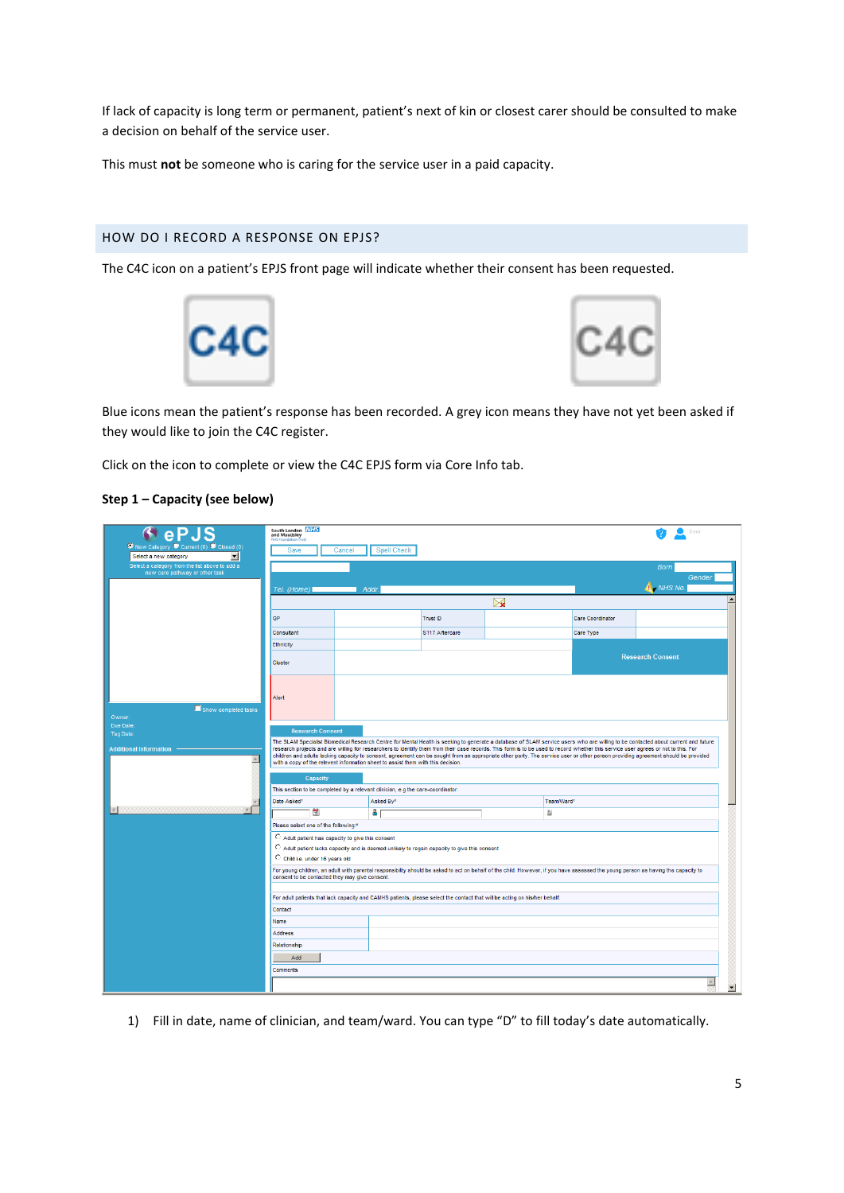If lack of capacity is long term or permanent, patient's next of kin or closest carer should be consulted to make a decision on behalf of the service user.

This must **not** be someone who is caring for the service user in a paid capacity.

# <span id="page-4-0"></span>HOW DO I RECORD A RESPONSE ON EPJS?

The C4C icon on a patient's EPJS front page will indicate whether their consent has been requested.





Blue icons mean the patient's response has been recorded. A grey icon means they have not yet been asked if they would like to join the C4C register.

Click on the icon to complete or view the C4C EPJS form via Core Info tab.

#### **Step 1 – Capacity (see below)**

| eP.1<br>O New Category O Current (0) O Closed (0)                                                                                                                                                                                                                                                                                                                                                                                                                                                                                                                                                                                                                                                                                                                                     | South London NHS<br>and Maudsley<br>Save         | Cancel<br><b>Spell Check</b> |                |            |           |                         |  |  |  |
|---------------------------------------------------------------------------------------------------------------------------------------------------------------------------------------------------------------------------------------------------------------------------------------------------------------------------------------------------------------------------------------------------------------------------------------------------------------------------------------------------------------------------------------------------------------------------------------------------------------------------------------------------------------------------------------------------------------------------------------------------------------------------------------|--------------------------------------------------|------------------------------|----------------|------------|-----------|-------------------------|--|--|--|
| $\blacktriangledown$<br>Select a new category<br>Select a category from the list above to add a<br>new care pathway or other task                                                                                                                                                                                                                                                                                                                                                                                                                                                                                                                                                                                                                                                     |                                                  |                              |                |            |           | <b>Born</b><br>Gender   |  |  |  |
|                                                                                                                                                                                                                                                                                                                                                                                                                                                                                                                                                                                                                                                                                                                                                                                       | - NHS No.<br>Tel. (Home) I<br>Addr               |                              |                |            |           |                         |  |  |  |
|                                                                                                                                                                                                                                                                                                                                                                                                                                                                                                                                                                                                                                                                                                                                                                                       | $\triangleright$                                 |                              |                |            |           |                         |  |  |  |
|                                                                                                                                                                                                                                                                                                                                                                                                                                                                                                                                                                                                                                                                                                                                                                                       | GP<br><b>Trust ID</b><br><b>Care Coordinator</b> |                              |                |            |           |                         |  |  |  |
|                                                                                                                                                                                                                                                                                                                                                                                                                                                                                                                                                                                                                                                                                                                                                                                       | Consultant                                       |                              | S117 Aftercare |            | Care Type |                         |  |  |  |
|                                                                                                                                                                                                                                                                                                                                                                                                                                                                                                                                                                                                                                                                                                                                                                                       | Ethnicity                                        |                              |                |            |           |                         |  |  |  |
|                                                                                                                                                                                                                                                                                                                                                                                                                                                                                                                                                                                                                                                                                                                                                                                       |                                                  |                              |                |            |           | <b>Research Consent</b> |  |  |  |
|                                                                                                                                                                                                                                                                                                                                                                                                                                                                                                                                                                                                                                                                                                                                                                                       | Cluster                                          |                              |                |            |           |                         |  |  |  |
| Show completed tasks<br>Owner:                                                                                                                                                                                                                                                                                                                                                                                                                                                                                                                                                                                                                                                                                                                                                        | Alert                                            |                              |                |            |           |                         |  |  |  |
| Due Date:                                                                                                                                                                                                                                                                                                                                                                                                                                                                                                                                                                                                                                                                                                                                                                             | <b>Research Consent</b>                          |                              |                |            |           |                         |  |  |  |
| Tag Date:                                                                                                                                                                                                                                                                                                                                                                                                                                                                                                                                                                                                                                                                                                                                                                             |                                                  |                              |                |            |           |                         |  |  |  |
| The SLAM Specialist Biomedical Research Centre for Mental Health is seeking to generate a database of SLAM service users who are willing to be contacted about current and future<br>research projects and are willing for researchers to identify them from their case records. This form is to be used to record whether this service user agrees or not to this. For<br><b>Additional Information</b><br>children and adults lacking capacity to consent, agreement can be sought from an appropriate other party. The service user or other person providing agreement should be provided<br>스<br>with a copy of the relevent information sheet to assist them with this decision.<br>Capacity<br>This section to be completed by a relevant clinician, e.g the care-coordinator. |                                                  |                              |                |            |           |                         |  |  |  |
|                                                                                                                                                                                                                                                                                                                                                                                                                                                                                                                                                                                                                                                                                                                                                                                       | Date Asked*                                      | Asked By*                    |                | Team/Ward* |           |                         |  |  |  |
|                                                                                                                                                                                                                                                                                                                                                                                                                                                                                                                                                                                                                                                                                                                                                                                       | 胃                                                | ۵                            |                | 龃          |           |                         |  |  |  |
|                                                                                                                                                                                                                                                                                                                                                                                                                                                                                                                                                                                                                                                                                                                                                                                       | Please select one of the following:*             |                              |                |            |           |                         |  |  |  |
| C Adult patient has capacity to give this consent<br>$\bigcirc$ Adult patient lacks capacity and is deemed unlikely to regain capacity to give this consent<br>C Child i.e. under 16 years old<br>For young children, an adult with parental responsibility should be asked to act on behalf of the child. However, if you have assessed the young person as having the capacity to<br>consent to be contacted they may give consent.                                                                                                                                                                                                                                                                                                                                                 |                                                  |                              |                |            |           |                         |  |  |  |
| For adult patients that lack capacity and CAMHS patients, please select the contact that will be acting on his/her behalf.                                                                                                                                                                                                                                                                                                                                                                                                                                                                                                                                                                                                                                                            |                                                  |                              |                |            |           |                         |  |  |  |
|                                                                                                                                                                                                                                                                                                                                                                                                                                                                                                                                                                                                                                                                                                                                                                                       | Contact                                          |                              |                |            |           |                         |  |  |  |
|                                                                                                                                                                                                                                                                                                                                                                                                                                                                                                                                                                                                                                                                                                                                                                                       | Name                                             |                              |                |            |           |                         |  |  |  |
|                                                                                                                                                                                                                                                                                                                                                                                                                                                                                                                                                                                                                                                                                                                                                                                       | <b>Address</b>                                   |                              |                |            |           |                         |  |  |  |
|                                                                                                                                                                                                                                                                                                                                                                                                                                                                                                                                                                                                                                                                                                                                                                                       | Relationship                                     |                              |                |            |           |                         |  |  |  |
|                                                                                                                                                                                                                                                                                                                                                                                                                                                                                                                                                                                                                                                                                                                                                                                       | Add<br><b>Comments</b>                           |                              |                |            |           |                         |  |  |  |
|                                                                                                                                                                                                                                                                                                                                                                                                                                                                                                                                                                                                                                                                                                                                                                                       |                                                  |                              |                |            |           |                         |  |  |  |
|                                                                                                                                                                                                                                                                                                                                                                                                                                                                                                                                                                                                                                                                                                                                                                                       | $\blacktriangle$                                 |                              |                |            |           |                         |  |  |  |

1) Fill in date, name of clinician, and team/ward. You can type "D" to fill today's date automatically.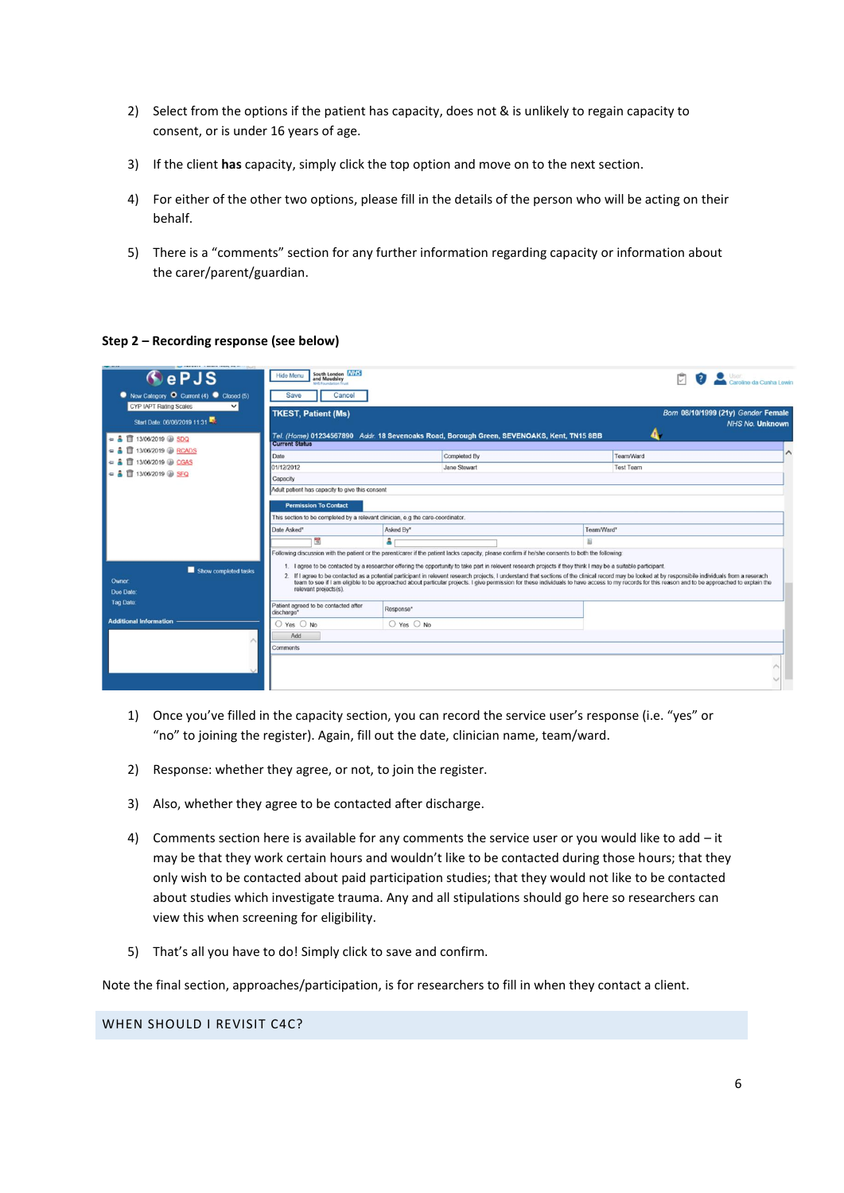- 2) Select from the options if the patient has capacity, does not & is unlikely to regain capacity to consent, or is under 16 years of age.
- 3) If the client **has** capacity, simply click the top option and move on to the next section.
- 4) For either of the other two options, please fill in the details of the person who will be acting on their behalf.
- 5) There is a "comments" section for any further information regarding capacity or information about the carer/parent/guardian.

## **Step 2 – Recording response (see below)**

| the company's company county which could<br>ePJS<br>New Category O Current (4) Closed (5)<br>CYP IAPT Rating Scales<br>$\checkmark$ | South London NHS<br><b>Hide Menu</b><br>and Maudsley<br><b>MS Foundation Trust</b><br>Save<br>Cancel<br><b>TKEST, Patient (Ms)</b> |                | Caroline da Cunha Lewin<br>Born 08/10/1999 (21y) Gender Female                                                                                                                                                                                                                                                                                                                                                                                                                                                                                                               |  |                               |                        |  |
|-------------------------------------------------------------------------------------------------------------------------------------|------------------------------------------------------------------------------------------------------------------------------------|----------------|------------------------------------------------------------------------------------------------------------------------------------------------------------------------------------------------------------------------------------------------------------------------------------------------------------------------------------------------------------------------------------------------------------------------------------------------------------------------------------------------------------------------------------------------------------------------------|--|-------------------------------|------------------------|--|
| Start Date: 06/06/2019 11:31<br>$\equiv$ $\frac{1}{2}$ 13/06/2019 $\circledR$ SDQ<br>13/06/2019 RCADS                               | <b>Current Status</b>                                                                                                              |                | Tel. (Home) 01234567890 Addr. 18 Sevenoaks Road, Borough Green, SEVENOAKS, Kent, TN15 8BB                                                                                                                                                                                                                                                                                                                                                                                                                                                                                    |  |                               | <b>NHS No. Unknown</b> |  |
| 13/06/2019 2 CGAS<br>$=$ $\frac{1}{2}$ II 13/06/2019 $\circledR$ SFQ                                                                | Date<br>01/12/2012<br>Capacity                                                                                                     |                | Completed By<br>Jane Stewart                                                                                                                                                                                                                                                                                                                                                                                                                                                                                                                                                 |  | Team/Ward<br><b>Test Team</b> | A                      |  |
|                                                                                                                                     | Adult patient has capacity to give this consent<br><b>Permission To Contact</b>                                                    |                |                                                                                                                                                                                                                                                                                                                                                                                                                                                                                                                                                                              |  |                               |                        |  |
|                                                                                                                                     | This section to be completed by a relevant clinician, e.g the care-coordinator.<br>Asked By*<br>Team/Ward*<br>Date Asked*          |                |                                                                                                                                                                                                                                                                                                                                                                                                                                                                                                                                                                              |  |                               |                        |  |
|                                                                                                                                     | 毊                                                                                                                                  | å.             | Following discussion with the patient or the parent/carer if the patient lacks capacity, please confirm if he/she consents to both the following:                                                                                                                                                                                                                                                                                                                                                                                                                            |  |                               |                        |  |
| Show completed tasks<br><b>Owner:</b><br>Due Date:                                                                                  | relevant projects(s).                                                                                                              |                | 1. I agree to be contacted by a researcher offering the opportunity to take part in relevent research projects if they think I may be a suitable participant.<br>2. If I agree to be contacted as a potential participant in relevent research projects, I understand that sections of the clinical record may be looked at by responsibile individuals from a reserach<br>team to see if I am eligible to be approached about particular projects. I give permission for these individuals to have access to my records for this reason and to be approached to explain the |  |                               |                        |  |
| Tag Date:                                                                                                                           | Patient agreed to be contacted after<br>discharge*                                                                                 | Response*      |                                                                                                                                                                                                                                                                                                                                                                                                                                                                                                                                                                              |  |                               |                        |  |
| <b>Additional Information</b>                                                                                                       | ○ Yes ○ No<br>Add                                                                                                                  | $O$ Yes $O$ No |                                                                                                                                                                                                                                                                                                                                                                                                                                                                                                                                                                              |  |                               |                        |  |
|                                                                                                                                     | Comments                                                                                                                           |                |                                                                                                                                                                                                                                                                                                                                                                                                                                                                                                                                                                              |  |                               |                        |  |
|                                                                                                                                     |                                                                                                                                    |                |                                                                                                                                                                                                                                                                                                                                                                                                                                                                                                                                                                              |  |                               |                        |  |

- 1) Once you've filled in the capacity section, you can record the service user's response (i.e. "yes" or "no" to joining the register). Again, fill out the date, clinician name, team/ward.
- 2) Response: whether they agree, or not, to join the register.
- 3) Also, whether they agree to be contacted after discharge.
- 4) Comments section here is available for any comments the service user or you would like to add it may be that they work certain hours and wouldn't like to be contacted during those hours; that they only wish to be contacted about paid participation studies; that they would not like to be contacted about studies which investigate trauma. Any and all stipulations should go here so researchers can view this when screening for eligibility.
- 5) That's all you have to do! Simply click to save and confirm.

Note the final section, approaches/participation, is for researchers to fill in when they contact a client.

## <span id="page-5-0"></span>WHEN SHOULD I REVISIT C4C?